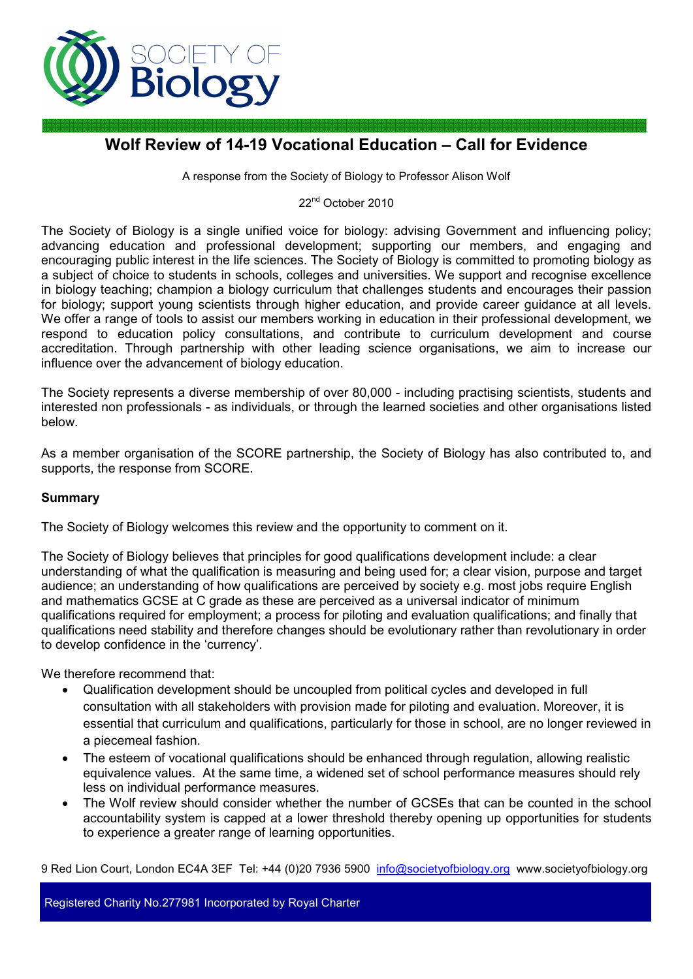

# **Wolf Review of 14-19 Vocational Education – Call for Evidence**

A response from the Society of Biology to Professor Alison Wolf

22<sup>nd</sup> October 2010

The Society of Biology is a single unified voice for biology: advising Government and influencing policy; advancing education and professional development; supporting our members, and engaging and encouraging public interest in the life sciences. The Society of Biology is committed to promoting biology as a subject of choice to students in schools, colleges and universities. We support and recognise excellence in biology teaching; champion a biology curriculum that challenges students and encourages their passion for biology; support young scientists through higher education, and provide career guidance at all levels. We offer a range of tools to assist our members working in education in their professional development, we respond to education policy consultations, and contribute to curriculum development and course accreditation. Through partnership with other leading science organisations, we aim to increase our influence over the advancement of biology education.

The Society represents a diverse membership of over 80,000 - including practising scientists, students and interested non professionals - as individuals, or through the learned societies and other organisations listed below.

As a member organisation of the SCORE partnership, the Society of Biology has also contributed to, and supports, the response from SCORE.

# **Summary**

The Society of Biology welcomes this review and the opportunity to comment on it.

The Society of Biology believes that principles for good qualifications development include: a clear understanding of what the qualification is measuring and being used for; a clear vision, purpose and target audience; an understanding of how qualifications are perceived by society e.g. most jobs require English and mathematics GCSE at C grade as these are perceived as a universal indicator of minimum qualifications required for employment; a process for piloting and evaluation qualifications; and finally that qualifications need stability and therefore changes should be evolutionary rather than revolutionary in order to develop confidence in the 'currency'.

We therefore recommend that:

- Qualification development should be uncoupled from political cycles and developed in full consultation with all stakeholders with provision made for piloting and evaluation. Moreover, it is essential that curriculum and qualifications, particularly for those in school, are no longer reviewed in a piecemeal fashion.
- The esteem of vocational qualifications should be enhanced through regulation, allowing realistic equivalence values. At the same time, a widened set of school performance measures should rely less on individual performance measures.
- The Wolf review should consider whether the number of GCSEs that can be counted in the school accountability system is capped at a lower threshold thereby opening up opportunities for students to experience a greater range of learning opportunities.

9 Red Lion Court, London EC4A 3EF Tel: +44 (0)20 7936 5900 info@societyofbiology.org www.societyofbiology.org

Registered Charity No.277981 Incorporated by Royal Charter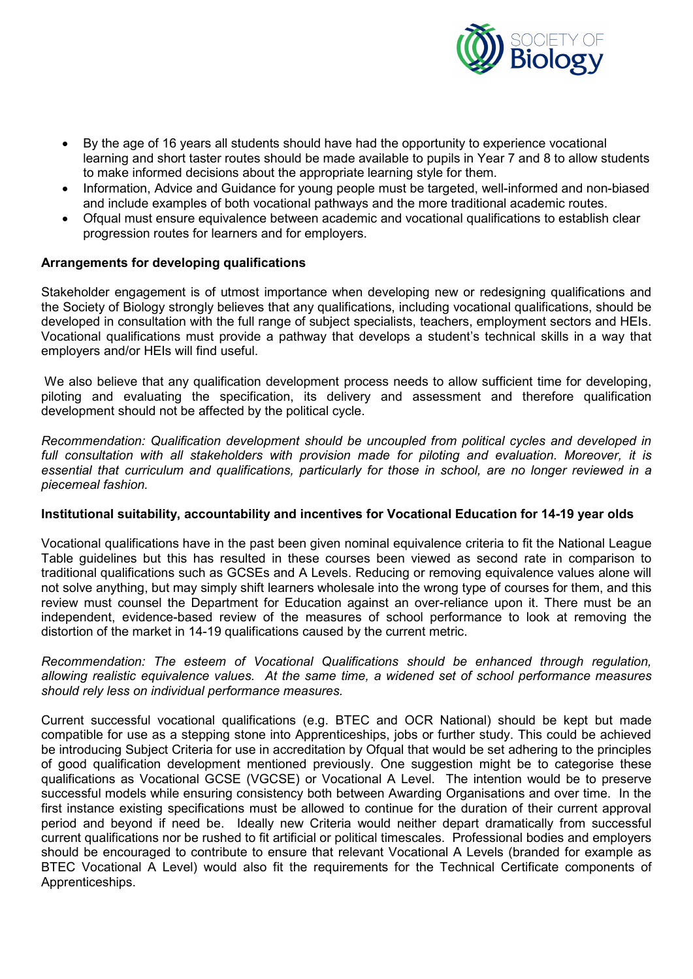

- By the age of 16 years all students should have had the opportunity to experience vocational learning and short taster routes should be made available to pupils in Year 7 and 8 to allow students to make informed decisions about the appropriate learning style for them.
- Information, Advice and Guidance for young people must be targeted, well-informed and non-biased and include examples of both vocational pathways and the more traditional academic routes.
- Ofqual must ensure equivalence between academic and vocational qualifications to establish clear progression routes for learners and for employers.

# **Arrangements for developing qualifications**

Stakeholder engagement is of utmost importance when developing new or redesigning qualifications and the Society of Biology strongly believes that any qualifications, including vocational qualifications, should be developed in consultation with the full range of subject specialists, teachers, employment sectors and HEIs. Vocational qualifications must provide a pathway that develops a student's technical skills in a way that employers and/or HEIs will find useful.

We also believe that any qualification development process needs to allow sufficient time for developing, piloting and evaluating the specification, its delivery and assessment and therefore qualification development should not be affected by the political cycle.

*Recommendation: Qualification development should be uncoupled from political cycles and developed in full consultation with all stakeholders with provision made for piloting and evaluation. Moreover, it is essential that curriculum and qualifications, particularly for those in school, are no longer reviewed in a piecemeal fashion.* 

# **Institutional suitability, accountability and incentives for Vocational Education for 14-19 year olds**

Vocational qualifications have in the past been given nominal equivalence criteria to fit the National League Table guidelines but this has resulted in these courses been viewed as second rate in comparison to traditional qualifications such as GCSEs and A Levels. Reducing or removing equivalence values alone will not solve anything, but may simply shift learners wholesale into the wrong type of courses for them, and this review must counsel the Department for Education against an over-reliance upon it. There must be an independent, evidence-based review of the measures of school performance to look at removing the distortion of the market in 14-19 qualifications caused by the current metric.

#### *Recommendation: The esteem of Vocational Qualifications should be enhanced through regulation, allowing realistic equivalence values. At the same time, a widened set of school performance measures should rely less on individual performance measures.*

Current successful vocational qualifications (e.g. BTEC and OCR National) should be kept but made compatible for use as a stepping stone into Apprenticeships, jobs or further study. This could be achieved be introducing Subject Criteria for use in accreditation by Ofqual that would be set adhering to the principles of good qualification development mentioned previously. One suggestion might be to categorise these qualifications as Vocational GCSE (VGCSE) or Vocational A Level. The intention would be to preserve successful models while ensuring consistency both between Awarding Organisations and over time. In the first instance existing specifications must be allowed to continue for the duration of their current approval period and beyond if need be. Ideally new Criteria would neither depart dramatically from successful current qualifications nor be rushed to fit artificial or political timescales. Professional bodies and employers should be encouraged to contribute to ensure that relevant Vocational A Levels (branded for example as BTEC Vocational A Level) would also fit the requirements for the Technical Certificate components of Apprenticeships.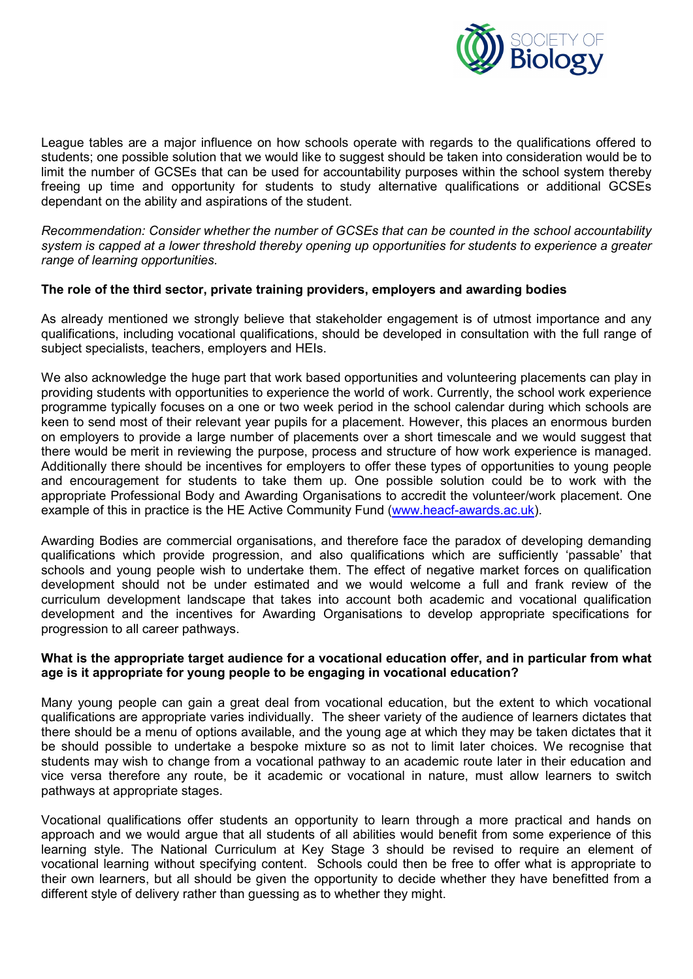

League tables are a major influence on how schools operate with regards to the qualifications offered to students; one possible solution that we would like to suggest should be taken into consideration would be to limit the number of GCSEs that can be used for accountability purposes within the school system thereby freeing up time and opportunity for students to study alternative qualifications or additional GCSEs dependant on the ability and aspirations of the student.

*Recommendation: Consider whether the number of GCSEs that can be counted in the school accountability system is capped at a lower threshold thereby opening up opportunities for students to experience a greater range of learning opportunities.* 

## **The role of the third sector, private training providers, employers and awarding bodies**

As already mentioned we strongly believe that stakeholder engagement is of utmost importance and any qualifications, including vocational qualifications, should be developed in consultation with the full range of subject specialists, teachers, employers and HEIs.

We also acknowledge the huge part that work based opportunities and volunteering placements can play in providing students with opportunities to experience the world of work. Currently, the school work experience programme typically focuses on a one or two week period in the school calendar during which schools are keen to send most of their relevant year pupils for a placement. However, this places an enormous burden on employers to provide a large number of placements over a short timescale and we would suggest that there would be merit in reviewing the purpose, process and structure of how work experience is managed. Additionally there should be incentives for employers to offer these types of opportunities to young people and encouragement for students to take them up. One possible solution could be to work with the appropriate Professional Body and Awarding Organisations to accredit the volunteer/work placement. One example of this in practice is the HE Active Community Fund (www.heacf-awards.ac.uk).

Awarding Bodies are commercial organisations, and therefore face the paradox of developing demanding qualifications which provide progression, and also qualifications which are sufficiently 'passable' that schools and young people wish to undertake them. The effect of negative market forces on qualification development should not be under estimated and we would welcome a full and frank review of the curriculum development landscape that takes into account both academic and vocational qualification development and the incentives for Awarding Organisations to develop appropriate specifications for progression to all career pathways.

## **What is the appropriate target audience for a vocational education offer, and in particular from what age is it appropriate for young people to be engaging in vocational education?**

Many young people can gain a great deal from vocational education, but the extent to which vocational qualifications are appropriate varies individually. The sheer variety of the audience of learners dictates that there should be a menu of options available, and the young age at which they may be taken dictates that it be should possible to undertake a bespoke mixture so as not to limit later choices. We recognise that students may wish to change from a vocational pathway to an academic route later in their education and vice versa therefore any route, be it academic or vocational in nature, must allow learners to switch pathways at appropriate stages.

Vocational qualifications offer students an opportunity to learn through a more practical and hands on approach and we would argue that all students of all abilities would benefit from some experience of this learning style. The National Curriculum at Key Stage 3 should be revised to require an element of vocational learning without specifying content. Schools could then be free to offer what is appropriate to their own learners, but all should be given the opportunity to decide whether they have benefitted from a different style of delivery rather than guessing as to whether they might.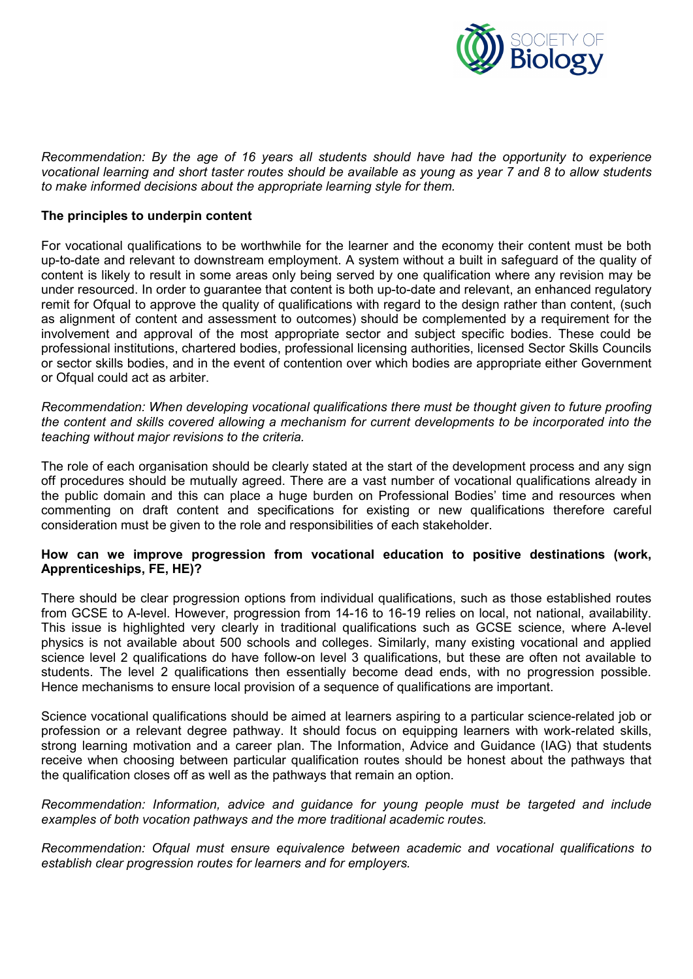

*Recommendation: By the age of 16 years all students should have had the opportunity to experience vocational learning and short taster routes should be available as young as year 7 and 8 to allow students to make informed decisions about the appropriate learning style for them.* 

#### **The principles to underpin content**

For vocational qualifications to be worthwhile for the learner and the economy their content must be both up-to-date and relevant to downstream employment. A system without a built in safeguard of the quality of content is likely to result in some areas only being served by one qualification where any revision may be under resourced. In order to guarantee that content is both up-to-date and relevant, an enhanced regulatory remit for Ofqual to approve the quality of qualifications with regard to the design rather than content, (such as alignment of content and assessment to outcomes) should be complemented by a requirement for the involvement and approval of the most appropriate sector and subject specific bodies. These could be professional institutions, chartered bodies, professional licensing authorities, licensed Sector Skills Councils or sector skills bodies, and in the event of contention over which bodies are appropriate either Government or Ofqual could act as arbiter.

*Recommendation: When developing vocational qualifications there must be thought given to future proofing the content and skills covered allowing a mechanism for current developments to be incorporated into the teaching without major revisions to the criteria.* 

The role of each organisation should be clearly stated at the start of the development process and any sign off procedures should be mutually agreed. There are a vast number of vocational qualifications already in the public domain and this can place a huge burden on Professional Bodies' time and resources when commenting on draft content and specifications for existing or new qualifications therefore careful consideration must be given to the role and responsibilities of each stakeholder.

## **How can we improve progression from vocational education to positive destinations (work, Apprenticeships, FE, HE)?**

There should be clear progression options from individual qualifications, such as those established routes from GCSE to A-level. However, progression from 14-16 to 16-19 relies on local, not national, availability. This issue is highlighted very clearly in traditional qualifications such as GCSE science, where A-level physics is not available about 500 schools and colleges. Similarly, many existing vocational and applied science level 2 qualifications do have follow-on level 3 qualifications, but these are often not available to students. The level 2 qualifications then essentially become dead ends, with no progression possible. Hence mechanisms to ensure local provision of a sequence of qualifications are important.

Science vocational qualifications should be aimed at learners aspiring to a particular science-related job or profession or a relevant degree pathway. It should focus on equipping learners with work-related skills, strong learning motivation and a career plan. The Information, Advice and Guidance (IAG) that students receive when choosing between particular qualification routes should be honest about the pathways that the qualification closes off as well as the pathways that remain an option.

*Recommendation: Information, advice and guidance for young people must be targeted and include examples of both vocation pathways and the more traditional academic routes.* 

*Recommendation: Ofqual must ensure equivalence between academic and vocational qualifications to establish clear progression routes for learners and for employers.*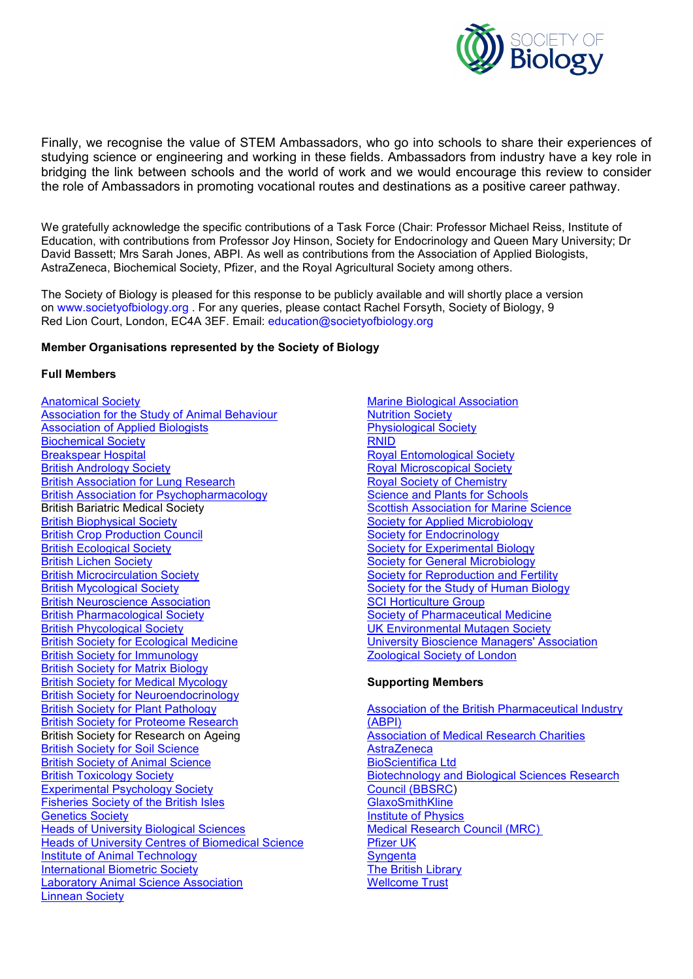

Finally, we recognise the value of STEM Ambassadors, who go into schools to share their experiences of studying science or engineering and working in these fields. Ambassadors from industry have a key role in bridging the link between schools and the world of work and we would encourage this review to consider the role of Ambassadors in promoting vocational routes and destinations as a positive career pathway.

We gratefully acknowledge the specific contributions of a Task Force (Chair: Professor Michael Reiss, Institute of Education, with contributions from Professor Joy Hinson, Society for Endocrinology and Queen Mary University; Dr David Bassett; Mrs Sarah Jones, ABPI. As well as contributions from the Association of Applied Biologists, AstraZeneca, Biochemical Society, Pfizer, and the Royal Agricultural Society among others.

The Society of Biology is pleased for this response to be publicly available and will shortly place a version on www.societyofbiology.org . For any queries, please contact Rachel Forsyth, Society of Biology, 9 Red Lion Court, London, EC4A 3EF. Email: education@societyofbiology.org

#### **Member Organisations represented by the Society of Biology**

#### **Full Members**

Anatomical Society Association for the Study of Animal Behaviour Association of Applied Biologists Biochemical Society **Breakspear Hospital** British Andrology Society British Association for Lung Research British Association for Psychopharmacology British Bariatric Medical Society British Biophysical Society British Crop Production Council British Ecological Society British Lichen Society British Microcirculation Society British Mycological Society British Neuroscience Association British Pharmacological Society British Phycological Society British Society for Ecological Medicine British Society for Immunology British Society for Matrix Biology British Society for Medical Mycology British Society for Neuroendocrinology British Society for Plant Pathology British Society for Proteome Research British Society for Research on Ageing British Society for Soil Science **British Society of Animal Science** British Toxicology Society Experimental Psychology Society Fisheries Society of the British Isles Genetics Society **Heads of University Biological Sciences** Heads of University Centres of Biomedical Science Institute of Animal Technology International Biometric Society **Laboratory Animal Science Association** Linnean Society

Marine Biological Association Nutrition Society Physiological Society RNID Royal Entomological Society Royal Microscopical Society Royal Society of Chemistry Science and Plants for Schools Scottish Association for Marine Science Society for Applied Microbiology Society for Endocrinology Society for Experimental Biology Society for General Microbiology Society for Reproduction and Fertility Society for the Study of Human Biology **SCI Horticulture Group** Society of Pharmaceutical Medicine UK Environmental Mutagen Society University Bioscience Managers' Association Zoological Society of London

#### **Supporting Members**

Association of the British Pharmaceutical Industry (ABPI) Association of Medical Research Charities **AstraZeneca** BioScientifica Ltd **Biotechnology and Biological Sciences Research** Council (BBSRC) **GlaxoSmithKline** Institute of Physics Medical Research Council (MRC) Pfizer UK **Syngenta** The British Library Wellcome Trust